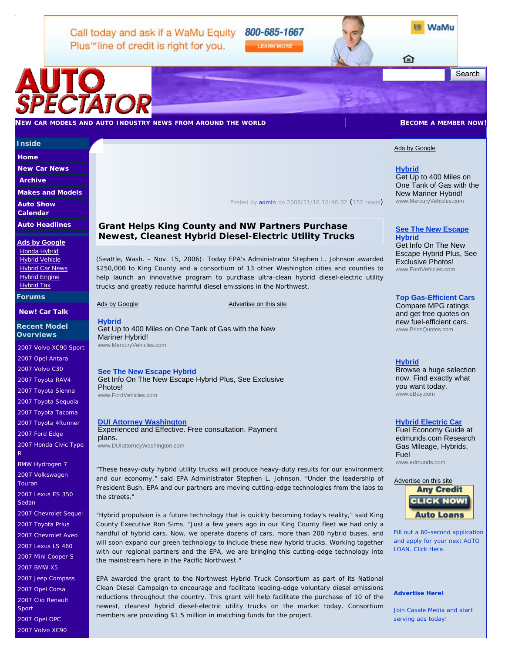Call today and ask if a WaMu Equity 800-685-1667 Plus<sup>"</sup> line of credit is right for you.

**LEARN MORE** 

≏

Search

# AUTO SPECTATOR

## **NEW CAR MODELS AND AUTO INDUSTRY NEWS FROM AROUND THE WORLD BECOME A MEMBER NOW!**

# **Inside**

**Home**

**New Car News** 

**Archive** 

**Makes and Models** 

**Auto Show Calendar** 

**Auto Headlines** 

**Ads by Google**

Honda Hybrid Hybrid Vehicle Hybrid Car News Hybrid Engine Hybrid Tax

**Forums** 

**New! Car Talk**

**Recent Model Overviews** 

2007 Volvo XC90 Sport 2007 Opel Antara

2007 Volvo C30

2007 Toyota RAV4

2007 Toyota Sienna

2007 Toyota Sequoia

2007 Toyota Tacoma

2007 Toyota 4Runner

2007 Ford Edge

2007 Honda Civic Type R

BMW Hydrogen 7

2007 Volkswagen Touran

2007 Lexus ES 350 Sedan

2007 Chevrolet Sequel

2007 Toyota Prius

2007 Chevrolet Aveo

2007 Lexus LS 460

2007 Mini Cooper S

2007 BMW X5

2007 Jeep Compass

2007 Opel Corsa

2007 Clio Renault

Sport

2007 Opel OPC

2007 Volvo XC90

*Posted by admin on 2006/11/16 10:46:02* (*152 reads*)

# **Grant Helps King County and NW Partners Purchase Newest, Cleanest Hybrid Diesel-Electric Utility Trucks**

(Seattle, Wash. – Nov. 15, 2006): Today EPA's Administrator Stephen L. Johnson awarded \$250,000 to King County and a consortium of 13 other Washington cities and counties to help launch an innovative program to purchase ultra-clean hybrid diesel-electric utility trucks and greatly reduce harmful diesel emissions in the Northwest.

#### Ads by Google Advertise on this site

**Hybrid** Get Up to 400 Miles on One Tank of Gas with the New Mariner Hybrid! www.MercuryVehicles.com

# **See The New Escape Hybrid**

Get Info On The New Escape Hybrid Plus, See Exclusive Photos! www.FordVehicles.com

## **DUI Attorney Washington**

Experienced and Effective. Free consultation. Payment plans.

www.DUIattorneyWashington.com

## "These heavy-duty hybrid utility trucks will produce heavy-duty results for our environment and our economy," said EPA Administrator Stephen L. Johnson. "Under the leadership of President Bush, EPA and our partners are moving cutting-edge technologies from the labs to the streets."

"Hybrid propulsion is a future technology that is quickly becoming today's reality," said King County Executive Ron Sims. "Just a few years ago in our King County fleet we had only a handful of hybrid cars. Now, we operate dozens of cars, more than 200 hybrid buses, and will soon expand our green technology to include these new hybrid trucks. Working together with our regional partners and the EPA, we are bringing this cutting-edge technology into the mainstream here in the Pacific Northwest."

EPA awarded the grant to the Northwest Hybrid Truck Consortium as part of its National Clean Diesel Campaign to encourage and facilitate leading-edge voluntary diesel emissions reductions throughout the country. This grant will help facilitate the purchase of 10 of the newest, cleanest hybrid diesel-electric utility trucks on the market today. Consortium members are providing \$1.5 million in matching funds for the project.

# Ads by Google

**Hybrid** Get Up to 400 Miles on One Tank of Gas with the New Mariner Hybrid! www.MercuryVehicles.com

**WaMu** 

# **See The New Escape Hybrid**

Get Info On The New Escape Hybrid Plus, See Exclusive Photos! www.FordVehicles.com

# **Top Gas-Efficient Cars**

Compare MPG ratings and get free quotes on new fuel-efficient cars. www.PriceQuotes.com

## **Hybrid**

Browse a huge selection now. Find exactly what you want today. www.eBay.com

#### **Hybrid Electric Car**

Fuel Economy Guide at edmunds.com Research Gas Mileage, Hybrids, Fuel www.edmunds.com

#### Advertise on this site



Fill out a 60-second application and apply for your next AUTO LOAN. Click Here.

#### **Advertise Here!**

Join Casale Media and start serving ads today!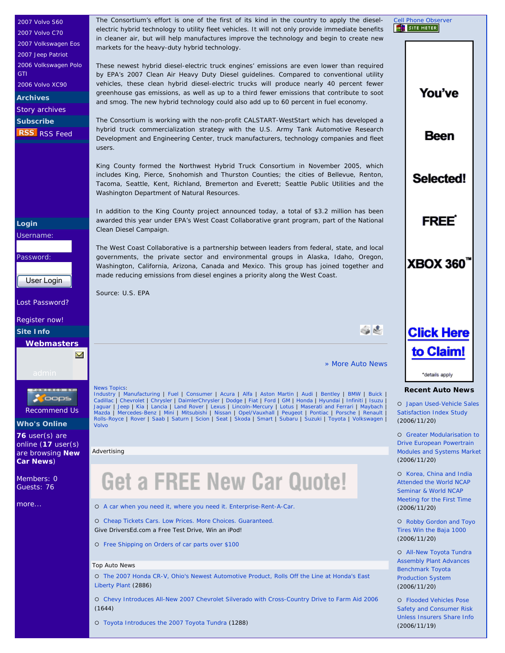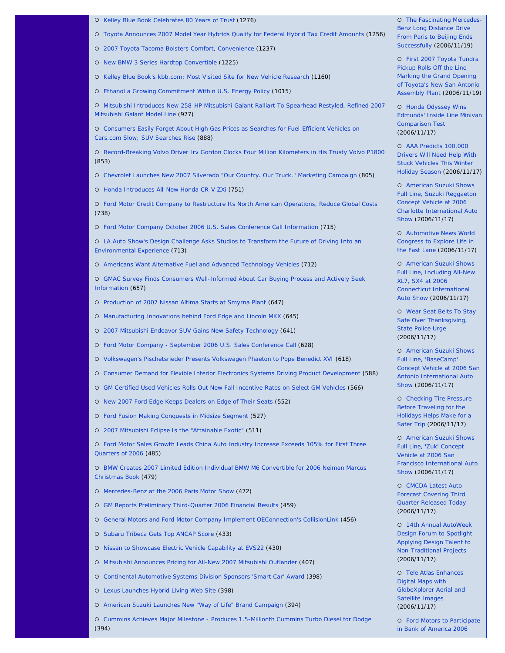- { Kelley Blue Book Celebrates 80 Years of Trust (1276)
- { Toyota Announces 2007 Model Year Hybrids Qualify for Federal Hybrid Tax Credit Amounts (1256)
- { 2007 Toyota Tacoma Bolsters Comfort, Convenience (1237)
- { New BMW 3 Series Hardtop Convertible (1225)
- { Kelley Blue Book's kbb.com: Most Visited Site for New Vehicle Research (1160)
- { Ethanol a Growing Commitment Within U.S. Energy Policy (1015)

{ Mitsubishi Introduces New 258-HP Mitsubishi Galant Ralliart To Spearhead Restyled, Refined 2007 Mitsubishi Galant Model Line (977)

{ Consumers Easily Forget About High Gas Prices as Searches for Fuel-Efficient Vehicles on Cars.com Slow; SUV Searches Rise (888)

{ Record-Breaking Volvo Driver Irv Gordon Clocks Four Million Kilometers in His Trusty Volvo P1800 (853)

{ Chevrolet Launches New 2007 Silverado "Our Country. Our Truck." Marketing Campaign (805)

{ Honda Introduces All-New Honda CR-V ZXi (751)

{ Ford Motor Credit Company to Restructure Its North American Operations, Reduce Global Costs (738)

{ Ford Motor Company October 2006 U.S. Sales Conference Call Information (715)

{ LA Auto Show's Design Challenge Asks Studios to Transform the Future of Driving Into an Environmental Experience (713)

{ Americans Want Alternative Fuel and Advanced Technology Vehicles (712)

{ GMAC Survey Finds Consumers Well-Informed About Car Buying Process and Actively Seek Information (657)

{ Production of 2007 Nissan Altima Starts at Smyrna Plant (647)

{ Manufacturing Innovations behind Ford Edge and Lincoln MKX (645)

{ 2007 Mitsubishi Endeavor SUV Gains New Safety Technology (641)

{ Ford Motor Company - September 2006 U.S. Sales Conference Call (628)

{ Volkswagen's Pischetsrieder Presents Volkswagen Phaeton to Pope Benedict XVI (618)

- { Consumer Demand for Flexible Interior Electronics Systems Driving Product Development (588)
- { GM Certified Used Vehicles Rolls Out New Fall Incentive Rates on Select GM Vehicles (566)
- { New 2007 Ford Edge Keeps Dealers on Edge of Their Seats (552)
- { Ford Fusion Making Conquests in Midsize Segment (527)
- { 2007 Mitsubishi Eclipse Is the "Attainable Exotic" (511)

{ Ford Motor Sales Growth Leads China Auto Industry Increase Exceeds 105% for First Three Quarters of 2006 (485)

{ BMW Creates 2007 Limited Edition Individual BMW M6 Convertible for 2006 Neiman Marcus Christmas Book (479)

{ Mercedes-Benz at the 2006 Paris Motor Show (472)

{ GM Reports Preliminary Third-Quarter 2006 Financial Results (459)

{ General Motors and Ford Motor Company Implement OEConnection's CollisionLink (456)

- { Subaru Tribeca Gets Top ANCAP Score (433)
- { Nissan to Showcase Electric Vehicle Capability at EVS22 (430)
- { Mitsubishi Announces Pricing for All-New 2007 Mitsubishi Outlander (407)
- { Continental Automotive Systems Division Sponsors 'Smart Car' Award (398)
- { Lexus Launches Hybrid Living Web Site (398)
- { American Suzuki Launches New "Way of Life" Brand Campaign (394)

{ Cummins Achieves Major Milestone - Produces 1.5-Millionth Cummins Turbo Diesel for Dodge (394)

{ The Fascinating Mercedes-Benz Long Distance Drive From Paris to Beijing Ends Successfully (2006/11/19)

{ First 2007 Toyota Tundra Pickup Rolls Off the Line Marking the Grand Opening of Toyota's New San Antonio Assembly Plant (2006/11/19)

{ Honda Odyssey Wins Edmunds' Inside Line Minivan Comparison Test (2006/11/17)

{ AAA Predicts 100,000 Drivers Will Need Help With Stuck Vehicles This Winter Holiday Season (2006/11/17)

{ American Suzuki Shows Full Line, Suzuki Reggaeton Concept Vehicle at 2006 Charlotte International Auto Show (2006/11/17)

{ Automotive News World Congress to Explore Life in the Fast Lane (2006/11/17)

{ American Suzuki Shows Full Line, Including All-New XL7, SX4 at 2006 Connecticut International Auto Show (2006/11/17)

{ Wear Seat Belts To Stay Safe Over Thanksgiving, State Police Urge (2006/11/17)

**O** American Suzuki Shows Full Line, 'BaseCamp' Concept Vehicle at 2006 San Antonio International Auto Show (2006/11/17)

{ Checking Tire Pressure Before Traveling for the Holidays Helps Make for a Safer Trip (2006/11/17)

{ American Suzuki Shows Full Line, 'Zuk' Concept Vehicle at 2006 San Francisco International Auto Show (2006/11/17)

{ CMCDA Latest Auto Forecast Covering Third Quarter Released Today (2006/11/17)

{ 14th Annual AutoWeek Design Forum to Spotlight Applying Design Talent to Non-Traditional Projects (2006/11/17)

{ Tele Atlas Enhances Digital Maps with GlobeXplorer Aerial and Satellite Images (2006/11/17)

{ Ford Motors to Participate in Bank of America 2006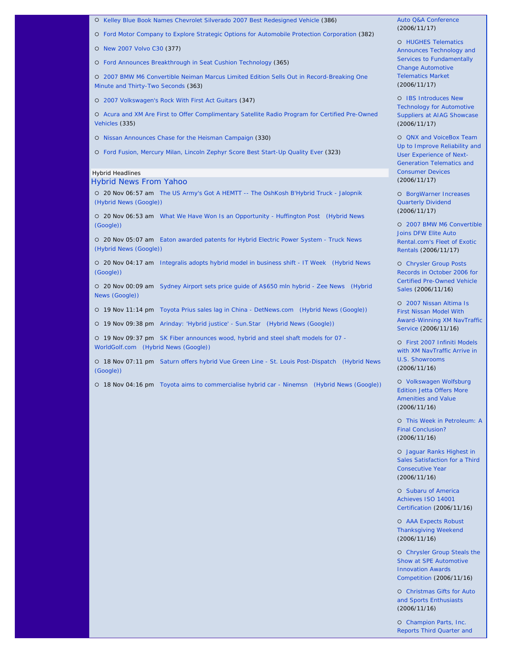{ Kelley Blue Book Names Chevrolet Silverado 2007 Best Redesigned Vehicle (386)

{ Ford Motor Company to Explore Strategic Options for Automobile Protection Corporation (382)

{ New 2007 Volvo C30 (377)

{ Ford Announces Breakthrough in Seat Cushion Technology (365)

{ 2007 BMW M6 Convertible Neiman Marcus Limited Edition Sells Out in Record-Breaking One Minute and Thirty-Two Seconds (363)

{ 2007 Volkswagen's Rock With First Act Guitars (347)

{ Acura and XM Are First to Offer Complimentary Satellite Radio Program for Certified Pre-Owned Vehicles (335)

{ Nissan Announces Chase for the Heisman Campaign (330)

{ Ford Fusion, Mercury Milan, Lincoln Zephyr Score Best Start-Up Quality Ever (323)

## Hybrid Headlines

# Hybrid News From Yahoo

{ 20 Nov 06:57 am The US Army's Got A HEMTT -- The OshKosh B'Hybrid Truck - Jalopnik (Hybrid News (Google))

{ 20 Nov 06:53 am What We Have Won Is an Opportunity - Huffington Post (Hybrid News (Google))

{ 20 Nov 05:07 am Eaton awarded patents for Hybrid Electric Power System - Truck News (Hybrid News (Google))

{ 20 Nov 04:17 am Integralis adopts hybrid model in business shift - IT Week (Hybrid News (Google))

{ 20 Nov 00:09 am Sydney Airport sets price guide of A\$650 mln hybrid - Zee News (Hybrid News (Google))

{ 19 Nov 11:14 pm Toyota Prius sales lag in China - DetNews.com (Hybrid News (Google))

{ 19 Nov 09:38 pm Arinday: 'Hybrid justice' - Sun.Star (Hybrid News (Google))

{ 19 Nov 09:37 pm SK Fiber announces wood, hybrid and steel shaft models for 07 - WorldGolf.com (Hybrid News (Google))

{ 18 Nov 07:11 pm Saturn offers hybrid Vue Green Line - St. Louis Post-Dispatch (Hybrid News (Google))

{ 18 Nov 04:16 pm Toyota aims to commercialise hybrid car - Ninemsn (Hybrid News (Google))

## Auto Q&A Conference (2006/11/17)

{ HUGHES Telematics Announces Technology and Services to Fundamentally Change Automotive Telematics Market (2006/11/17)

{ IBS Introduces New Technology for Automotive Suppliers at AIAG Showcase (2006/11/17)

{ QNX and VoiceBox Team Up to Improve Reliability and User Experience of Next-Generation Telematics and Consumer Devices (2006/11/17)

{ BorgWarner Increases Quarterly Dividend (2006/11/17)

{ 2007 BMW M6 Convertible Joins DFW Elite Auto Rental.com's Fleet of Exotic Rentals (2006/11/17)

{ Chrysler Group Posts Records in October 2006 for Certified Pre-Owned Vehicle Sales (2006/11/16)

{ 2007 Nissan Altima Is First Nissan Model With Award-Winning XM NavTraffic Service (2006/11/16)

{ First 2007 Infiniti Models with XM NavTraffic Arrive in U.S. Showrooms (2006/11/16)

{ Volkswagen Wolfsburg Edition Jetta Offers More Amenities and Value (2006/11/16)

{ This Week in Petroleum: A Final Conclusion? (2006/11/16)

{ Jaguar Ranks Highest in Sales Satisfaction for a Third Consecutive Year (2006/11/16)

{ Subaru of America Achieves ISO 14001 Certification (2006/11/16)

{ AAA Expects Robust Thanksgiving Weekend (2006/11/16)

{ Chrysler Group Steals the Show at SPE Automotive Innovation Awards Competition (2006/11/16)

{ Christmas Gifts for Auto and Sports Enthusiasts (2006/11/16)

{ Champion Parts, Inc. Reports Third Quarter and